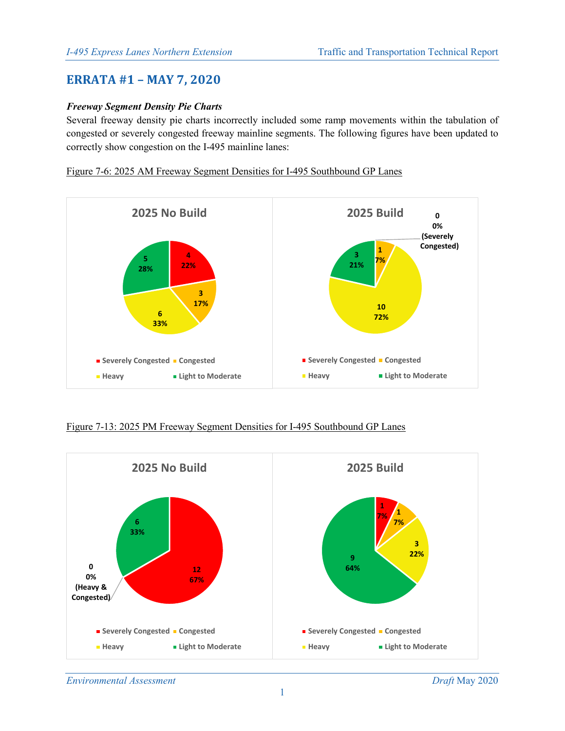# **ERRATA #1 – MAY 7, 2020**

## *Freeway Segment Density Pie Charts*

Several freeway density pie charts incorrectly included some ramp movements within the tabulation of congested or severely congested freeway mainline segments. The following figures have been updated to correctly show congestion on the I-495 mainline lanes:

### Figure 7-6: 2025 AM Freeway Segment Densities for I-495 Southbound GP Lanes



#### Figure 7-13: 2025 PM Freeway Segment Densities for I-495 Southbound GP Lanes

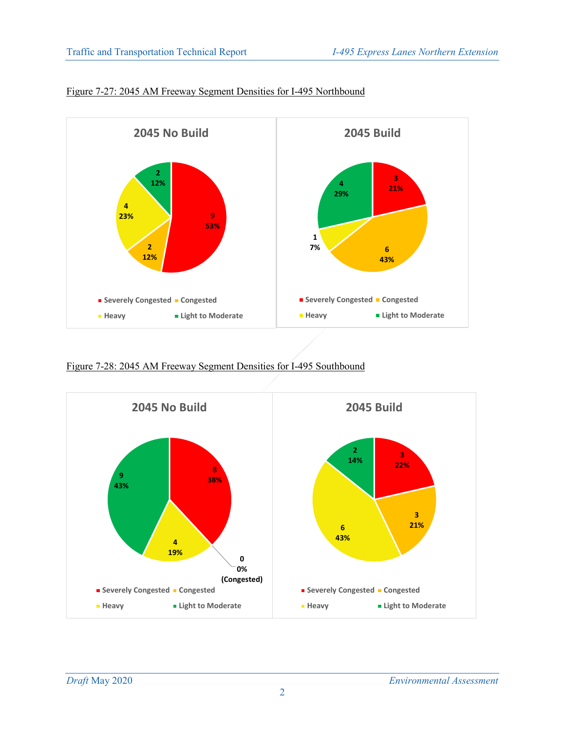

# Figure 7-27: 2045 AM Freeway Segment Densities for I-495 Northbound

Figure 7-28: 2045 AM Freeway Segment Densities for I-495 Southbound